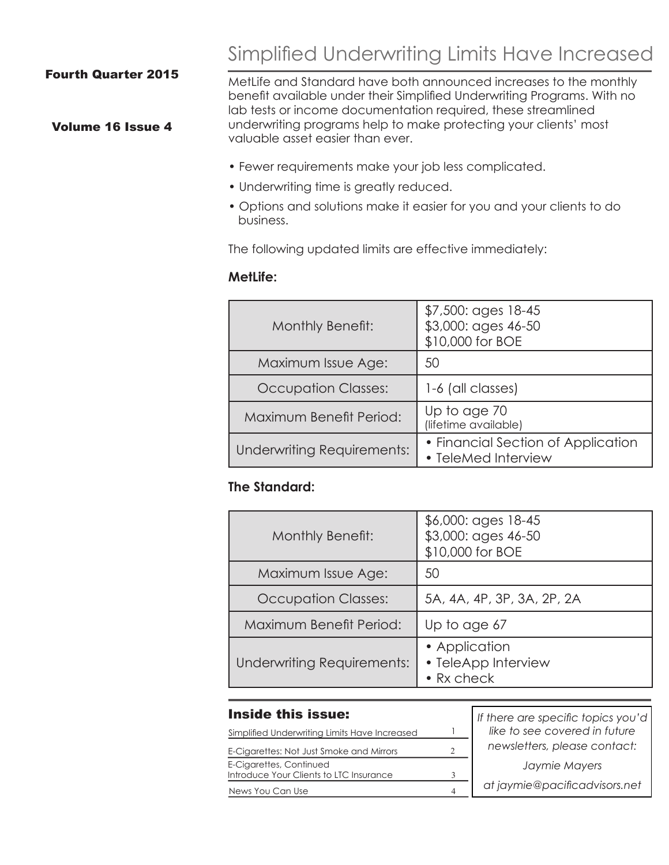### Fourth Quarter 2015

## Volume 16 Issue 4

Simplified Underwriting Limits Have Increased

MetLife and Standard have both announced increases to the monthly benefit available under their Simplified Underwriting Programs. With no lab tests or income documentation required, these streamlined underwriting programs help to make protecting your clients' most valuable asset easier than ever.

- Fewer requirements make your job less complicated.
- Underwriting time is greatly reduced.
- Options and solutions make it easier for you and your clients to do business.

The following updated limits are effective immediately:

#### **MetLife:**

| Monthly Benefit:                  | $$7,500$ : ages 18-45<br>\$3,000: ages 46-50<br>\$10,000 for BOE |  |  |
|-----------------------------------|------------------------------------------------------------------|--|--|
| Maximum Issue Age:                | 50                                                               |  |  |
| <b>Occupation Classes:</b>        | 1-6 (all classes)                                                |  |  |
| Maximum Benefit Period:           | Up to age 70<br>(lifetime available)                             |  |  |
| <b>Underwriting Requirements:</b> | • Financial Section of Application<br>• TeleMed Interview        |  |  |

## **The Standard:**

| Monthly Benefit:           | \$6,000: ages 18-45<br>\$3,000: ages 46-50<br>\$10,000 for BOE |  |
|----------------------------|----------------------------------------------------------------|--|
| Maximum Issue Age:         | 50                                                             |  |
| <b>Occupation Classes:</b> | 5A, 4A, 4P, 3P, 3A, 2P, 2A                                     |  |
| Maximum Benefit Period:    | Up to age 67                                                   |  |
| Underwriting Requirements: | • Application<br>• TeleApp Interview<br>$\bullet$ Rx check     |  |

#### Inside this issue:

| Simplified Underwriting Limits Have Increased                      |   | like to see covered in future |
|--------------------------------------------------------------------|---|-------------------------------|
| E-Cigarettes: Not Just Smoke and Mirrors                           |   | newsletters, please contact:  |
| E-Cigarettes, Continued<br>Introduce Your Clients to LTC Insurance |   | Jaymie Mayers                 |
| News You Can Use                                                   | Δ | at jaymie@pacificadvisors.net |

*If there are specific topics you'd*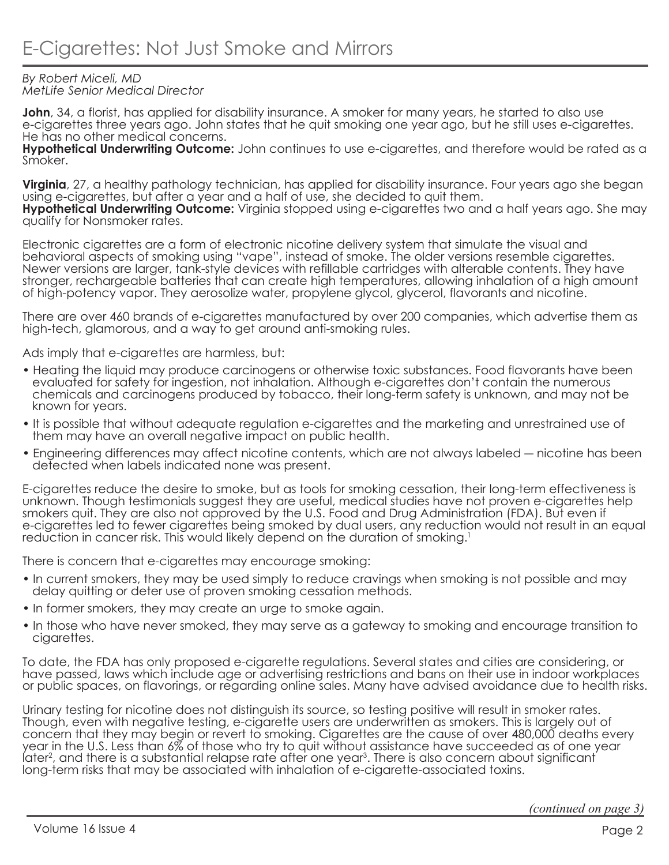#### *By Robert Miceli, MD MetLife Senior Medical Director*

**John**, 34, a florist, has applied for disability insurance. A smoker for many years, he started to also use e-cigarettes three years ago. John states that he quit smoking one year ago, but he still uses e-cigarettes. He has no other medical concerns.

**Hypothetical Underwriting Outcome:** John continues to use e-cigarettes, and therefore would be rated as a Smoker.

**Virginia**, 27, a healthy pathology technician, has applied for disability insurance. Four years ago she began using e-cigarettes, but after a year and a half of use, she decided to quit them.

**Hypothetical Underwriting Outcome:** Virginia stopped using e-cigarettes two and a half years ago. She may qualify for Nonsmoker rates.

Electronic cigarettes are a form of electronic nicotine delivery system that simulate the visual and behavioral aspects of smoking using "vape", instead of smoke. The older versions resemble cigarettes. Newer versions are larger, tank-style devices with refillable cartridges with alterable contents. They have stronger, rechargeable batteries that can create high temperatures, allowing inhalation of a high amount of high-potency vapor. They aerosolize water, propylene glycol, glycerol, flavorants and nicotine.

There are over 460 brands of e-cigarettes manufactured by over 200 companies, which advertise them as high-tech, glamorous, and a way to get around anti-smoking rules.

Ads imply that e-cigarettes are harmless, but:

- Heating the liquid may produce carcinogens or otherwise toxic substances. Food flavorants have been evaluated for safety for ingestion, not inhalation. Although e-cigarettes don't contain the numerous chemicals and carcinogens produced by tobacco, their long-term safety is unknown, and may not be known for years.
- It is possible that without adequate regulation e-cigarettes and the marketing and unrestrained use of them may have an overall negative impact on public health.
- Engineering differences may affect nicotine contents, which are not always labeled ― nicotine has been detected when labels indicated none was present.

E-cigarettes reduce the desire to smoke, but as tools for smoking cessation, their long-term effectiveness is unknown. Though testimonials suggest they are useful, medical studies have not proven e-cigarettes help smokers quit. They are also not approved by the U.S. Food and Drug Administration (FDA). But even if e-cigarettes led to fewer cigarettes being smoked by dual users, any reduction would not result in an equal reduction in cancer risk. This would likely depend on the duration of smoking.<sup>1</sup>

There is concern that e-cigarettes may encourage smoking:

- In current smokers, they may be used simply to reduce cravings when smoking is not possible and may delay quitting or deter use of proven smoking cessation methods.
- In former smokers, they may create an urge to smoke again.
- In those who have never smoked, they may serve as a gateway to smoking and encourage transition to cigarettes.

To date, the FDA has only proposed e-cigarette regulations. Several states and cities are considering, or have passed, laws which include age or advertising restrictions and bans on their use in indoor workplaces or public spaces, on flavorings, or regarding online sales. Many have advised avoidance due to health risks.

Urinary testing for nicotine does not distinguish its source, so testing positive will result in smoker rates. Though, even with negative testing, e-cigarette users are underwritten as smokers. This is largely out of concern that they may begin or revert to smoking. Cigarettes are the cause of over 480,000 deaths every year in the U.S. Less than 6% of those who try to quit without assistance have succeeded as of one year later<sup>2</sup>, and there is a substantial relapse rate after one year<sup>3</sup>. There is also concern about significant long-term risks that may be associated with inhalation of e-cigarette-associated toxins.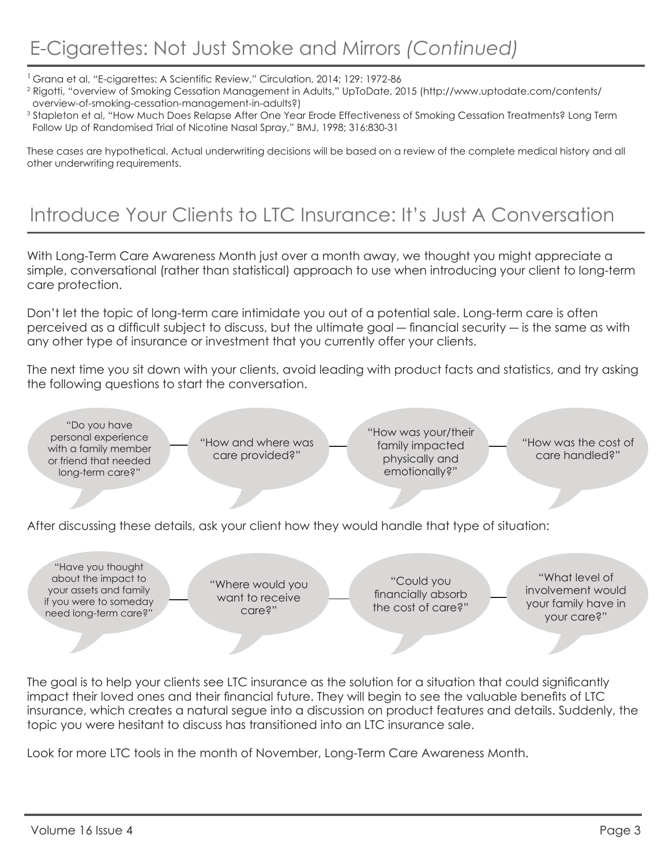# E-Cigarettes: Not Just Smoke and Mirrors *(Continued)*

<sup>1</sup> Grana et al, "E-cigarettes: A Scientific Review," Circulation, 2014; 129: 1972-86

- 2 Rigotti, "overview of Smoking Cessation Management in Adults," UpToDate, 2015 (http://www.uptodate.com/contents/ overview-of-smoking-cessation-management-in-adults?)
- 3 Stapleton et al, "How Much Does Relapse After One Year Erode Effectiveness of Smoking Cessation Treatments? Long Term Follow Up of Randomised Trial of Nicotine Nasal Spray," BMJ, 1998; 316:830-31

These cases are hypothetical. Actual underwriting decisions will be based on a review of the complete medical history and all other underwriting requirements.

## Introduce Your Clients to LTC Insurance: It's Just A Conversation

With Long-Term Care Awareness Month just over a month away, we thought you might appreciate a simple, conversational (rather than statistical) approach to use when introducing your client to long-term care protection.

Don't let the topic of long-term care intimidate you out of a potential sale. Long-term care is often perceived as a difficult subject to discuss, but the ultimate goal ― financial security ― is the same as with any other type of insurance or investment that you currently offer your clients.

The next time you sit down with your clients, avoid leading with product facts and statistics, and try asking the following questions to start the conversation.

After discussing these details, ask your client how they would handle that type of situation: "Do you have personal experience with a family member or friend that needed long-term care?" "How and where was care provided?" "How was your/their family impacted physically and emotionally?" "How was the cost of care handled?" "Have you thought about the impact to your assets and family if you were to someday need long-term care?" "What level of involvement would your family have in your care?" "Could you financially absorb the cost of care?" "Where would you want to receive care?"

The goal is to help your clients see LTC insurance as the solution for a situation that could significantly impact their loved ones and their financial future. They will begin to see the valuable benefits of LTC insurance, which creates a natural segue into a discussion on product features and details. Suddenly, the topic you were hesitant to discuss has transitioned into an LTC insurance sale.

Look for more LTC tools in the month of November, Long-Term Care Awareness Month.